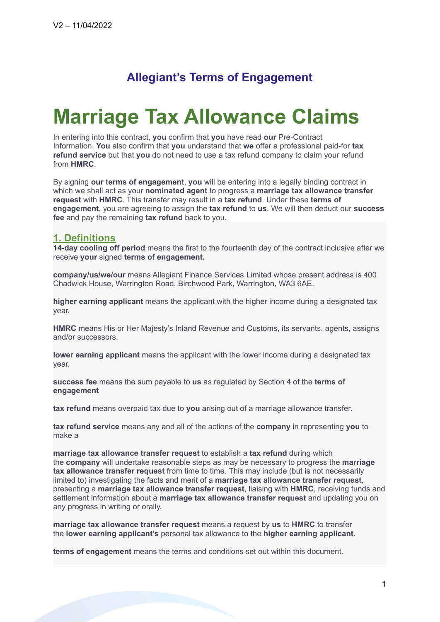# **Allegiant's Terms of Engagement**

# **Marriage Tax Allowance Claims**

In entering into this contract, **you** confirm that **you** have read **our** Pre-Contract Information. **You** also confirm that **you** understand that **we** offer a professional paid-for **tax refund service** but that **you** do not need to use a tax refund company to claim your refund from **HMRC**.

By signing **our terms of engagement**, **you** will be entering into a legally binding contract in which we shall act as your **nominated agent** to progress a **marriage tax allowance transfer request** with **HMRC**. This transfer may result in a **tax refund**. Under these **terms of engagement**, you are agreeing to assign the **tax refund** to **us**. We will then deduct our **success fee** and pay the remaining **tax refund** back to you.

#### **1. Definitions**

**14-day cooling off period** means the first to the fourteenth day of the contract inclusive after we receive **your** signed **terms of engagement.**

**company/us/we/our** means Allegiant Finance Services Limited whose present address is 400 Chadwick House, Warrington Road, Birchwood Park, Warrington, WA3 6AE.

**higher earning applicant** means the applicant with the higher income during a designated tax year.

**HMRC** means His or Her Majesty's Inland Revenue and Customs, its servants, agents, assigns and/or successors.

**lower earning applicant** means the applicant with the lower income during a designated tax year.

**success fee** means the sum payable to **us** as regulated by Section 4 of the **terms of engagement**

**tax refund** means overpaid tax due to **you** arising out of a marriage allowance transfer.

**tax refund service** means any and all of the actions of the **company** in representing **you** to make a

**marriage tax allowance transfer request** to establish a **tax refund** during which the **company** will undertake reasonable steps as may be necessary to progress the **marriage tax allowance transfer request** from time to time. This may include (but is not necessarily limited to) investigating the facts and merit of a **marriage tax allowance transfer request**, presenting a **marriage tax allowance transfer request**, liaising with **HMRC**, receiving funds and settlement information about a **marriage tax allowance transfer request** and updating you on any progress in writing or orally.

**marriage tax allowance transfer request** means a request by **us** to **HMRC** to transfer the **lower earning applicant's** personal tax allowance to the **higher earning applicant.**

**terms of engagement** means the terms and conditions set out within this document.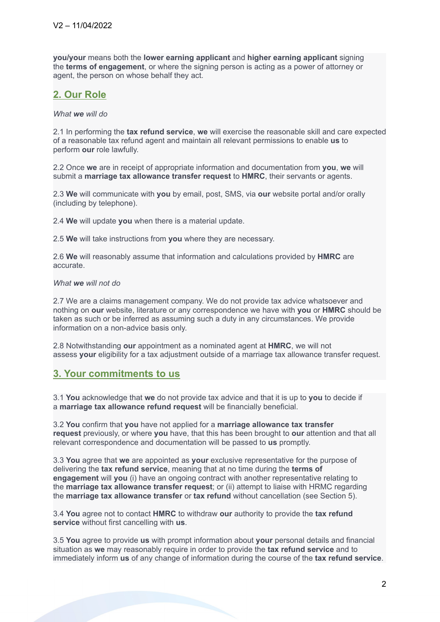**you/your** means both the **lower earning applicant** and **higher earning applicant** signing the **terms of engagement**, or where the signing person is acting as a power of attorney or agent, the person on whose behalf they act.

# **2. Our Role**

*What we will do*

2.1 In performing the **tax refund service**, **we** will exercise the reasonable skill and care expected of a reasonable tax refund agent and maintain all relevant permissions to enable **us** to perform **our** role lawfully.

2.2 Once **we** are in receipt of appropriate information and documentation from **you**, **we** will submit a **marriage tax allowance transfer request** to **HMRC**, their servants or agents.

2.3 **We** will communicate with **you** by email, post, SMS, via **our** website portal and/or orally (including by telephone).

2.4 **We** will update **you** when there is a material update.

2.5 **We** will take instructions from **you** where they are necessary.

2.6 **We** will reasonably assume that information and calculations provided by **HMRC** are accurate.

#### *What we will not do*

2.7 We are a claims management company. We do not provide tax advice whatsoever and nothing on **our** website, literature or any correspondence we have with **you** or **HMRC** should be taken as such or be inferred as assuming such a duty in any circumstances. We provide information on a non-advice basis only.

2.8 Notwithstanding **our** appointment as a nominated agent at **HMRC**, we will not assess **your** eligibility for a tax adjustment outside of a marriage tax allowance transfer request.

# **3. Your commitments to us**

3.1 **You** acknowledge that **we** do not provide tax advice and that it is up to **you** to decide if a **marriage tax allowance refund request** will be financially beneficial.

3.2 **You** confirm that **you** have not applied for a **marriage allowance tax transfer request** previously, or where **you** have, that this has been brought to **our** attention and that all relevant correspondence and documentation will be passed to **us** promptly.

3.3 **You** agree that **we** are appointed as **your** exclusive representative for the purpose of delivering the **tax refund service**, meaning that at no time during the **terms of engagement** will **you** (i) have an ongoing contract with another representative relating to the **marriage tax allowance transfer request**; or (ii) attempt to liaise with HRMC regarding the **marriage tax allowance transfer** or **tax refund** without cancellation (see Section 5).

3.4 **You** agree not to contact **HMRC** to withdraw **our** authority to provide the **tax refund service** without first cancelling with **us**.

3.5 **You** agree to provide **us** with prompt information about **your** personal details and financial situation as **we** may reasonably require in order to provide the **tax refund service** and to immediately inform **us** of any change of information during the course of the **tax refund service**.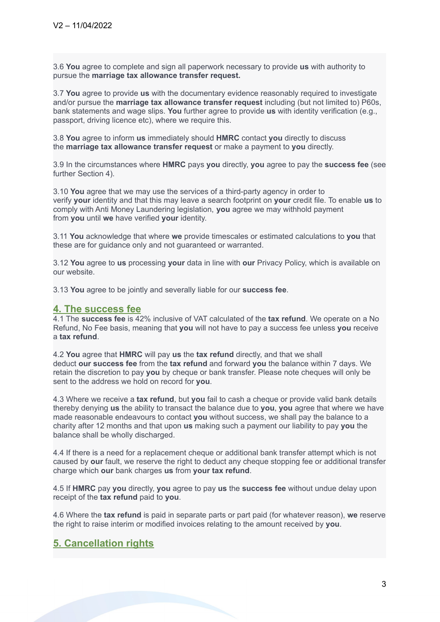3.6 **You** agree to complete and sign all paperwork necessary to provide **us** with authority to pursue the **marriage tax allowance transfer request.**

3.7 **You** agree to provide **us** with the documentary evidence reasonably required to investigate and/or pursue the **marriage tax allowance transfer request** including (but not limited to) P60s, bank statements and wage slips. **You** further agree to provide **us** with identity verification (e.g., passport, driving licence etc), where we require this.

3.8 **You** agree to inform **us** immediately should **HMRC** contact **you** directly to discuss the **marriage tax allowance transfer request** or make a payment to **you** directly.

3.9 In the circumstances where **HMRC** pays **you** directly, **you** agree to pay the **success fee** (see further Section 4).

3.10 **You** agree that we may use the services of a third-party agency in order to verify **your** identity and that this may leave a search footprint on **your** credit file. To enable **us** to comply with Anti Money Laundering legislation, **you** agree we may withhold payment from **you** until **we** have verified **your** identity.

3.11 **You** acknowledge that where **we** provide timescales or estimated calculations to **you** that these are for guidance only and not guaranteed or warranted.

3.12 **You** agree to **us** processing **your** data in line with **our** Privacy Policy, which is available on our website.

3.13 **You** agree to be jointly and severally liable for our **success fee**.

#### **4. The success fee**

4.1 The **success fee** is 42% inclusive of VAT calculated of the **tax refund**. We operate on a No Refund, No Fee basis, meaning that **you** will not have to pay a success fee unless **you** receive a **tax refund**.

4.2 **You** agree that **HMRC** will pay **us** the **tax refund** directly, and that we shall deduct **our success fee** from the **tax refund** and forward **you** the balance within 7 days. We retain the discretion to pay **you** by cheque or bank transfer. Please note cheques will only be sent to the address we hold on record for **you**.

4.3 Where we receive a **tax refund**, but **you** fail to cash a cheque or provide valid bank details thereby denying **us** the ability to transact the balance due to **you**, **you** agree that where we have made reasonable endeavours to contact **you** without success, we shall pay the balance to a charity after 12 months and that upon **us** making such a payment our liability to pay **you** the balance shall be wholly discharged.

4.4 If there is a need for a replacement cheque or additional bank transfer attempt which is not caused by **our** fault, we reserve the right to deduct any cheque stopping fee or additional transfer charge which **our** bank charges **us** from **your tax refund**.

4.5 If **HMRC** pay **you** directly, **you** agree to pay **us** the **success fee** without undue delay upon receipt of the **tax refund** paid to **you**.

4.6 Where the **tax refund** is paid in separate parts or part paid (for whatever reason), **we** reserve the right to raise interim or modified invoices relating to the amount received by **you**.

# **5. Cancellation rights**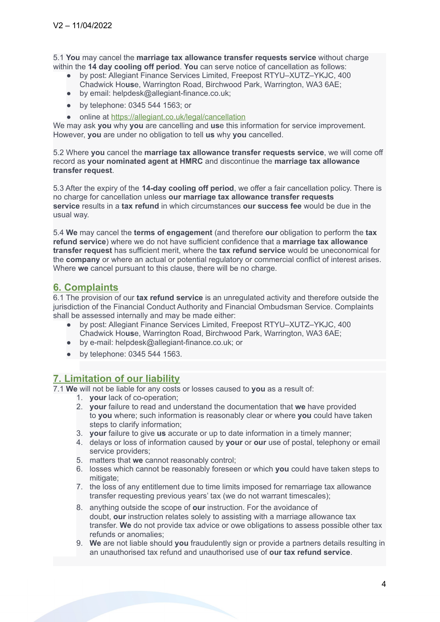5.1 **You** may cancel the **marriage tax allowance transfer requests service** without charge within the **14 day cooling off period**. **You** can serve notice of cancellation as follows:

- by post: Allegiant Finance Services Limited, Freepost RTYU–XUTZ–YKJC, 400 Chadwick Ho**us**e, Warrington Road, Birchwood Park, Warrington, WA3 6AE;
- by email: helpdesk@allegiant-finance.co.uk;
- by telephone: 0345 544 1563; or
- online at <https://allegiant.co.uk/legal/cancellation>

We may ask **you** why **you** are cancelling and **us**e this information for service improvement. However, **you** are under no obligation to tell **us** why **you** cancelled.

5.2 Where **you** cancel the **marriage tax allowance transfer requests service**, we will come off record as **your nominated agent at HMRC** and discontinue the **marriage tax allowance transfer request**.

5.3 After the expiry of the **14-day cooling off period**, we offer a fair cancellation policy. There is no charge for cancellation unless **our marriage tax allowance transfer requests service** results in a **tax refund** in which circumstances **our success fee** would be due in the usual way.

5.4 **We** may cancel the **terms of engagement** (and therefore **our** obligation to perform the **tax refund service**) where we do not have sufficient confidence that a **marriage tax allowance transfer request** has sufficient merit, where the **tax refund service** would be uneconomical for the **company** or where an actual or potential regulatory or commercial conflict of interest arises. Where **we** cancel pursuant to this clause, there will be no charge.

# **6. Complaints**

6.1 The provision of our **tax refund service** is an unregulated activity and therefore outside the jurisdiction of the Financial Conduct Authority and Financial Ombudsman Service. Complaints shall be assessed internally and may be made either:

- by post: Allegiant Finance Services Limited, Freepost RTYU–XUTZ–YKJC, 400 Chadwick Ho**us**e, Warrington Road, Birchwood Park, Warrington, WA3 6AE;
- by e-mail: helpdesk@allegiant-finance.co.uk; or
- by telephone: 0345 544 1563.

# **7. Limitation of our liability**

7.1 **We** will not be liable for any costs or losses caused to **you** as a result of:

- 1. **your** lack of co-operation;
- 2. **your** failure to read and understand the documentation that **we** have provided to **you** where; such information is reasonably clear or where **you** could have taken steps to clarify information;
- 3. **your** failure to give **us** accurate or up to date information in a timely manner;
- 4. delays or loss of information caused by **your** or **our** use of postal, telephony or email service providers;
- 5. matters that **we** cannot reasonably control;
- 6. losses which cannot be reasonably foreseen or which **you** could have taken steps to mitigate;
- 7. the loss of any entitlement due to time limits imposed for remarriage tax allowance transfer requesting previous years' tax (we do not warrant timescales);
- 8. anything outside the scope of **our** instruction. For the avoidance of doubt, **our** instruction relates solely to assisting with a marriage allowance tax transfer. **We** do not provide tax advice or owe obligations to assess possible other tax refunds or anomalies;
- 9. **We** are not liable should **you** fraudulently sign or provide a partners details resulting in an unauthorised tax refund and unauthorised use of **our tax refund service**.